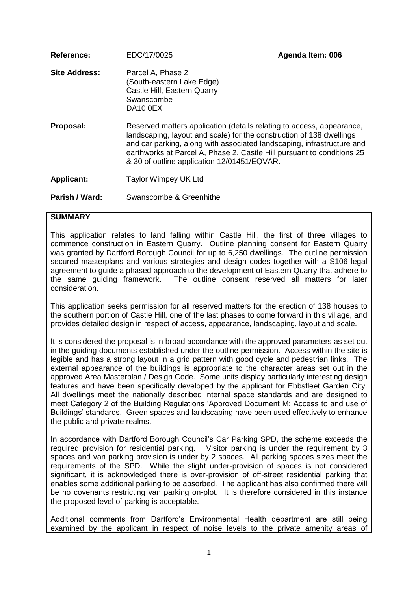| Reference:           | EDC/17/0025                                                                                                                                                                                                                                                                                                                                      | Agenda Item: 006 |  |
|----------------------|--------------------------------------------------------------------------------------------------------------------------------------------------------------------------------------------------------------------------------------------------------------------------------------------------------------------------------------------------|------------------|--|
| <b>Site Address:</b> | Parcel A, Phase 2<br>(South-eastern Lake Edge)<br>Castle Hill, Eastern Quarry<br>Swanscombe<br>DA <sub>10</sub> OEX                                                                                                                                                                                                                              |                  |  |
| Proposal:            | Reserved matters application (details relating to access, appearance,<br>landscaping, layout and scale) for the construction of 138 dwellings<br>and car parking, along with associated landscaping, infrastructure and<br>earthworks at Parcel A, Phase 2, Castle Hill pursuant to conditions 25<br>& 30 of outline application 12/01451/EQVAR. |                  |  |
| <b>Applicant:</b>    | Taylor Wimpey UK Ltd                                                                                                                                                                                                                                                                                                                             |                  |  |
| Parish / Ward:       | Swanscombe & Greenhithe                                                                                                                                                                                                                                                                                                                          |                  |  |

### **SUMMARY**

This application relates to land falling within Castle Hill, the first of three villages to commence construction in Eastern Quarry. Outline planning consent for Eastern Quarry was granted by Dartford Borough Council for up to 6,250 dwellings. The outline permission secured masterplans and various strategies and design codes together with a S106 legal agreement to guide a phased approach to the development of Eastern Quarry that adhere to the same guiding framework. The outline consent reserved all matters for later consideration.

This application seeks permission for all reserved matters for the erection of 138 houses to the southern portion of Castle Hill, one of the last phases to come forward in this village, and provides detailed design in respect of access, appearance, landscaping, layout and scale.

It is considered the proposal is in broad accordance with the approved parameters as set out in the guiding documents established under the outline permission. Access within the site is legible and has a strong layout in a grid pattern with good cycle and pedestrian links. The external appearance of the buildings is appropriate to the character areas set out in the approved Area Masterplan / Design Code. Some units display particularly interesting design features and have been specifically developed by the applicant for Ebbsfleet Garden City. All dwellings meet the nationally described internal space standards and are designed to meet Category 2 of the Building Regulations 'Approved Document M: Access to and use of Buildings' standards. Green spaces and landscaping have been used effectively to enhance the public and private realms.

In accordance with Dartford Borough Council's Car Parking SPD, the scheme exceeds the required provision for residential parking. Visitor parking is under the requirement by 3 spaces and van parking provision is under by 2 spaces. All parking spaces sizes meet the requirements of the SPD. While the slight under-provision of spaces is not considered significant, it is acknowledged there is over-provision of off-street residential parking that enables some additional parking to be absorbed. The applicant has also confirmed there will be no covenants restricting van parking on-plot. It is therefore considered in this instance the proposed level of parking is acceptable.

Additional comments from Dartford's Environmental Health department are still being examined by the applicant in respect of noise levels to the private amenity areas of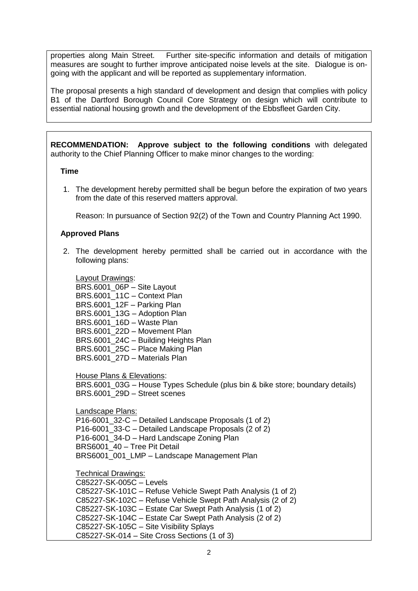properties along Main Street. Further site-specific information and details of mitigation measures are sought to further improve anticipated noise levels at the site. Dialogue is ongoing with the applicant and will be reported as supplementary information.

The proposal presents a high standard of development and design that complies with policy B1 of the Dartford Borough Council Core Strategy on design which will contribute to essential national housing growth and the development of the Ebbsfleet Garden City.

**RECOMMENDATION: Approve subject to the following conditions** with delegated authority to the Chief Planning Officer to make minor changes to the wording:

#### **Time**

1. The development hereby permitted shall be begun before the expiration of two years from the date of this reserved matters approval.

Reason: In pursuance of Section 92(2) of the Town and Country Planning Act 1990.

## **Approved Plans**

2. The development hereby permitted shall be carried out in accordance with the following plans:

Layout Drawings: BRS.6001\_06P – Site Layout BRS.6001\_11C – Context Plan BRS.6001\_12F – Parking Plan BRS.6001\_13G – Adoption Plan BRS.6001\_16D – Waste Plan BRS.6001\_22D – Movement Plan BRS.6001\_24C – Building Heights Plan BRS.6001\_25C – Place Making Plan BRS.6001\_27D – Materials Plan

House Plans & Elevations:

BRS.6001\_03G – House Types Schedule (plus bin & bike store; boundary details) BRS.6001\_29D – Street scenes

Landscape Plans: P16-6001 32-C – Detailed Landscape Proposals (1 of 2) P16-6001\_33-C – Detailed Landscape Proposals (2 of 2) P16-6001 34-D – Hard Landscape Zoning Plan BRS6001\_40 – Tree Pit Detail BRS6001\_001\_LMP – Landscape Management Plan

Technical Drawings:

C85227-SK-005C – Levels C85227-SK-101C – Refuse Vehicle Swept Path Analysis (1 of 2) C85227-SK-102C – Refuse Vehicle Swept Path Analysis (2 of 2) C85227-SK-103C – Estate Car Swept Path Analysis (1 of 2) C85227-SK-104C – Estate Car Swept Path Analysis (2 of 2) C85227-SK-105C – Site Visibility Splays C85227-SK-014 – Site Cross Sections (1 of 3)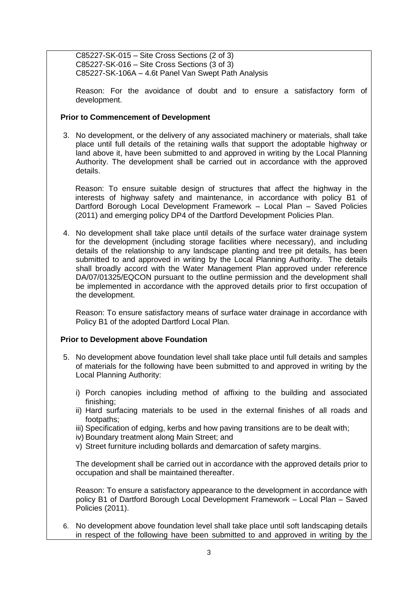C85227-SK-015 – Site Cross Sections (2 of 3) C85227-SK-016 – Site Cross Sections (3 of 3) C85227-SK-106A – 4.6t Panel Van Swept Path Analysis

Reason: For the avoidance of doubt and to ensure a satisfactory form of development.

### **Prior to Commencement of Development**

3. No development, or the delivery of any associated machinery or materials, shall take place until full details of the retaining walls that support the adoptable highway or land above it, have been submitted to and approved in writing by the Local Planning Authority. The development shall be carried out in accordance with the approved details.

Reason: To ensure suitable design of structures that affect the highway in the interests of highway safety and maintenance, in accordance with policy B1 of Dartford Borough Local Development Framework – Local Plan – Saved Policies (2011) and emerging policy DP4 of the Dartford Development Policies Plan.

4. No development shall take place until details of the surface water drainage system for the development (including storage facilities where necessary), and including details of the relationship to any landscape planting and tree pit details, has been submitted to and approved in writing by the Local Planning Authority. The details shall broadly accord with the Water Management Plan approved under reference DA/07/01325/EQCON pursuant to the outline permission and the development shall be implemented in accordance with the approved details prior to first occupation of the development.

Reason: To ensure satisfactory means of surface water drainage in accordance with Policy B1 of the adopted Dartford Local Plan.

### **Prior to Development above Foundation**

- 5. No development above foundation level shall take place until full details and samples of materials for the following have been submitted to and approved in writing by the Local Planning Authority:
	- i) Porch canopies including method of affixing to the building and associated finishing;
	- ii) Hard surfacing materials to be used in the external finishes of all roads and footpaths;
	- iii) Specification of edging, kerbs and how paving transitions are to be dealt with;
	- iv) Boundary treatment along Main Street; and
	- v) Street furniture including bollards and demarcation of safety margins.

The development shall be carried out in accordance with the approved details prior to occupation and shall be maintained thereafter.

Reason: To ensure a satisfactory appearance to the development in accordance with policy B1 of Dartford Borough Local Development Framework – Local Plan – Saved Policies (2011).

6. No development above foundation level shall take place until soft landscaping details in respect of the following have been submitted to and approved in writing by the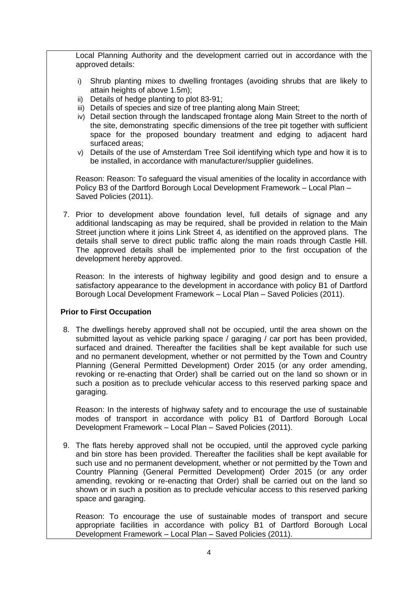Local Planning Authority and the development carried out in accordance with the approved details:

- i) Shrub planting mixes to dwelling frontages (avoiding shrubs that are likely to attain heights of above 1.5m);
- ii) Details of hedge planting to plot 83-91;
- iii) Details of species and size of tree planting along Main Street;
- iv) Detail section through the landscaped frontage along Main Street to the north of the site, demonstrating specific dimensions of the tree pit together with sufficient space for the proposed boundary treatment and edging to adjacent hard surfaced areas;
- v) Details of the use of Amsterdam Tree Soil identifying which type and how it is to be installed, in accordance with manufacturer/supplier guidelines.

Reason: Reason: To safeguard the visual amenities of the locality in accordance with Policy B3 of the Dartford Borough Local Development Framework – Local Plan – Saved Policies (2011).

7. Prior to development above foundation level, full details of signage and any additional landscaping as may be required, shall be provided in relation to the Main Street junction where it joins Link Street 4, as identified on the approved plans. The details shall serve to direct public traffic along the main roads through Castle Hill. The approved details shall be implemented prior to the first occupation of the development hereby approved.

Reason: In the interests of highway legibility and good design and to ensure a satisfactory appearance to the development in accordance with policy B1 of Dartford Borough Local Development Framework – Local Plan – Saved Policies (2011).

### **Prior to First Occupation**

8. The dwellings hereby approved shall not be occupied, until the area shown on the submitted layout as vehicle parking space / garaging / car port has been provided, surfaced and drained. Thereafter the facilities shall be kept available for such use and no permanent development, whether or not permitted by the Town and Country Planning (General Permitted Development) Order 2015 (or any order amending, revoking or re-enacting that Order) shall be carried out on the land so shown or in such a position as to preclude vehicular access to this reserved parking space and garaging.

Reason: In the interests of highway safety and to encourage the use of sustainable modes of transport in accordance with policy B1 of Dartford Borough Local Development Framework – Local Plan – Saved Policies (2011).

9. The flats hereby approved shall not be occupied, until the approved cycle parking and bin store has been provided. Thereafter the facilities shall be kept available for such use and no permanent development, whether or not permitted by the Town and Country Planning (General Permitted Development) Order 2015 (or any order amending, revoking or re-enacting that Order) shall be carried out on the land so shown or in such a position as to preclude vehicular access to this reserved parking space and garaging.

Reason: To encourage the use of sustainable modes of transport and secure appropriate facilities in accordance with policy B1 of Dartford Borough Local Development Framework – Local Plan – Saved Policies (2011).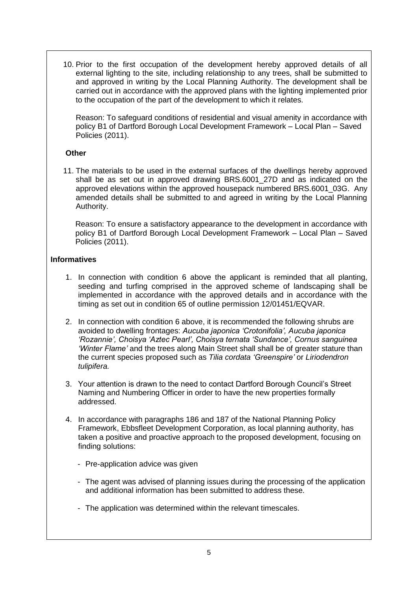10. Prior to the first occupation of the development hereby approved details of all external lighting to the site, including relationship to any trees, shall be submitted to and approved in writing by the Local Planning Authority. The development shall be carried out in accordance with the approved plans with the lighting implemented prior to the occupation of the part of the development to which it relates.

Reason: To safeguard conditions of residential and visual amenity in accordance with policy B1 of Dartford Borough Local Development Framework – Local Plan – Saved Policies (2011).

## **Other**

11. The materials to be used in the external surfaces of the dwellings hereby approved shall be as set out in approved drawing BRS.6001\_27D and as indicated on the approved elevations within the approved housepack numbered BRS.6001\_03G. Any amended details shall be submitted to and agreed in writing by the Local Planning Authority.

Reason: To ensure a satisfactory appearance to the development in accordance with policy B1 of Dartford Borough Local Development Framework – Local Plan – Saved Policies (2011).

## **Informatives**

- 1. In connection with condition 6 above the applicant is reminded that all planting, seeding and turfing comprised in the approved scheme of landscaping shall be implemented in accordance with the approved details and in accordance with the timing as set out in condition 65 of outline permission 12/01451/EQVAR.
- 2. In connection with condition 6 above, it is recommended the following shrubs are avoided to dwelling frontages: *Aucuba japonica 'Crotonifolia', Aucuba japonica 'Rozannie', Choisya 'Aztec Pearl', Choisya ternata 'Sundance', Cornus sanguinea 'Winter Flame'* and the trees along Main Street shall shall be of greater stature than the current species proposed such as *Tilia cordata 'Greenspire'* or *Liriodendron tulipifera.*
- 3. Your attention is drawn to the need to contact Dartford Borough Council's Street Naming and Numbering Officer in order to have the new properties formally addressed.
- 4. In accordance with paragraphs 186 and 187 of the National Planning Policy Framework, Ebbsfleet Development Corporation, as local planning authority, has taken a positive and proactive approach to the proposed development, focusing on finding solutions:
	- Pre-application advice was given
	- The agent was advised of planning issues during the processing of the application and additional information has been submitted to address these.
	- The application was determined within the relevant timescales.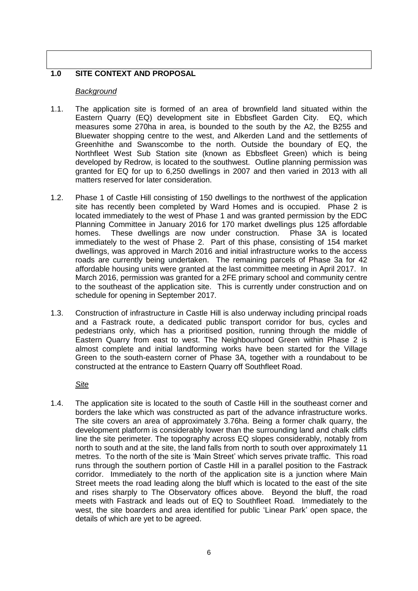# **1.0 SITE CONTEXT AND PROPOSAL**

### *Background*

- 1.1. The application site is formed of an area of brownfield land situated within the Eastern Quarry (EQ) development site in Ebbsfleet Garden City. EQ, which measures some 270ha in area, is bounded to the south by the A2, the B255 and Bluewater shopping centre to the west, and Alkerden Land and the settlements of Greenhithe and Swanscombe to the north. Outside the boundary of EQ, the Northfleet West Sub Station site (known as Ebbsfleet Green) which is being developed by Redrow, is located to the southwest. Outline planning permission was granted for EQ for up to 6,250 dwellings in 2007 and then varied in 2013 with all matters reserved for later consideration.
- 1.2. Phase 1 of Castle Hill consisting of 150 dwellings to the northwest of the application site has recently been completed by Ward Homes and is occupied. Phase 2 is located immediately to the west of Phase 1 and was granted permission by the EDC Planning Committee in January 2016 for 170 market dwellings plus 125 affordable homes. These dwellings are now under construction. Phase 3A is located immediately to the west of Phase 2. Part of this phase, consisting of 154 market dwellings, was approved in March 2016 and initial infrastructure works to the access roads are currently being undertaken. The remaining parcels of Phase 3a for 42 affordable housing units were granted at the last committee meeting in April 2017. In March 2016, permission was granted for a 2FE primary school and community centre to the southeast of the application site. This is currently under construction and on schedule for opening in September 2017.
- 1.3. Construction of infrastructure in Castle Hill is also underway including principal roads and a Fastrack route, a dedicated public transport corridor for bus, cycles and pedestrians only, which has a prioritised position, running through the middle of Eastern Quarry from east to west. The Neighbourhood Green within Phase 2 is almost complete and initial landforming works have been started for the Village Green to the south-eastern corner of Phase 3A, together with a roundabout to be constructed at the entrance to Eastern Quarry off Southfleet Road.

*Site*

1.4. The application site is located to the south of Castle Hill in the southeast corner and borders the lake which was constructed as part of the advance infrastructure works. The site covers an area of approximately 3.76ha. Being a former chalk quarry, the development platform is considerably lower than the surrounding land and chalk cliffs line the site perimeter. The topography across EQ slopes considerably, notably from north to south and at the site, the land falls from north to south over approximately 11 metres. To the north of the site is 'Main Street' which serves private traffic. This road runs through the southern portion of Castle Hill in a parallel position to the Fastrack corridor. Immediately to the north of the application site is a junction where Main Street meets the road leading along the bluff which is located to the east of the site and rises sharply to The Observatory offices above. Beyond the bluff, the road meets with Fastrack and leads out of EQ to Southfleet Road. Immediately to the west, the site boarders and area identified for public 'Linear Park' open space, the details of which are yet to be agreed.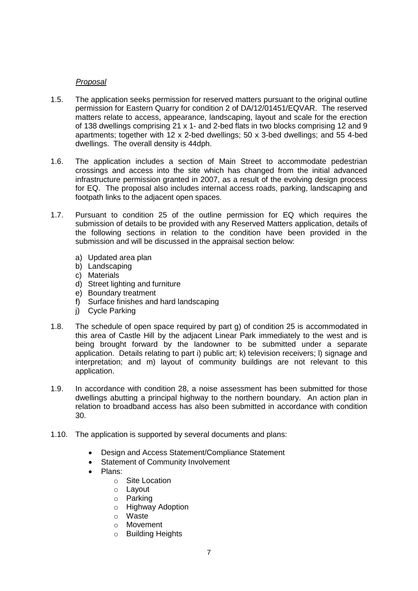# *Proposal*

- 1.5. The application seeks permission for reserved matters pursuant to the original outline permission for Eastern Quarry for condition 2 of DA/12/01451/EQVAR. The reserved matters relate to access, appearance, landscaping, layout and scale for the erection of 138 dwellings comprising 21 x 1- and 2-bed flats in two blocks comprising 12 and 9 apartments; together with 12 x 2-bed dwellings; 50 x 3-bed dwellings; and 55 4-bed dwellings. The overall density is 44dph.
- 1.6. The application includes a section of Main Street to accommodate pedestrian crossings and access into the site which has changed from the initial advanced infrastructure permission granted in 2007, as a result of the evolving design process for EQ. The proposal also includes internal access roads, parking, landscaping and footpath links to the adjacent open spaces.
- 1.7. Pursuant to condition 25 of the outline permission for EQ which requires the submission of details to be provided with any Reserved Matters application, details of the following sections in relation to the condition have been provided in the submission and will be discussed in the appraisal section below:
	- a) Updated area plan
	- b) Landscaping
	- c) Materials
	- d) Street lighting and furniture
	- e) Boundary treatment
	- f) Surface finishes and hard landscaping
	- j) Cycle Parking
- 1.8. The schedule of open space required by part g) of condition 25 is accommodated in this area of Castle Hill by the adjacent Linear Park immediately to the west and is being brought forward by the landowner to be submitted under a separate application. Details relating to part i) public art; k) television receivers; l) signage and interpretation; and m) layout of community buildings are not relevant to this application.
- 1.9. In accordance with condition 28, a noise assessment has been submitted for those dwellings abutting a principal highway to the northern boundary. An action plan in relation to broadband access has also been submitted in accordance with condition 30.
- 1.10. The application is supported by several documents and plans:
	- Design and Access Statement/Compliance Statement
	- Statement of Community Involvement
	- Plans:
		- o Site Location
		- o Layout
		- o Parking
		- o Highway Adoption
		- o Waste
		- o Movement
		- o Building Heights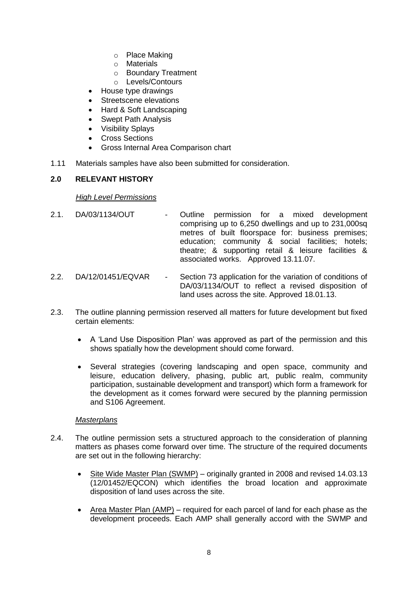- o Place Making
- o Materials
- o Boundary Treatment
- o Levels/Contours
- House type drawings
- Streetscene elevations
- Hard & Soft Landscaping
- Swept Path Analysis
- Visibility Splays
- Cross Sections
- Gross Internal Area Comparison chart
- 1.11 Materials samples have also been submitted for consideration.

## **2.0 RELEVANT HISTORY**

#### *High Level Permissions*

- 2.1. DA/03/1134/OUT Outline permission for a mixed development comprising up to 6,250 dwellings and up to 231,000sq metres of built floorspace for: business premises; education; community & social facilities; hotels; theatre; & supporting retail & leisure facilities & associated works. Approved 13.11.07.
- 2.2. DA/12/01451/EQVAR Section 73 application for the variation of conditions of DA/03/1134/OUT to reflect a revised disposition of land uses across the site. Approved 18.01.13.
- 2.3. The outline planning permission reserved all matters for future development but fixed certain elements:
	- A 'Land Use Disposition Plan' was approved as part of the permission and this shows spatially how the development should come forward.
	- Several strategies (covering landscaping and open space, community and leisure, education delivery, phasing, public art, public realm, community participation, sustainable development and transport) which form a framework for the development as it comes forward were secured by the planning permission and S106 Agreement.

### *Masterplans*

- 2.4. The outline permission sets a structured approach to the consideration of planning matters as phases come forward over time. The structure of the required documents are set out in the following hierarchy:
	- Site Wide Master Plan (SWMP) originally granted in 2008 and revised 14.03.13 (12/01452/EQCON) which identifies the broad location and approximate disposition of land uses across the site.
	- Area Master Plan (AMP) required for each parcel of land for each phase as the development proceeds. Each AMP shall generally accord with the SWMP and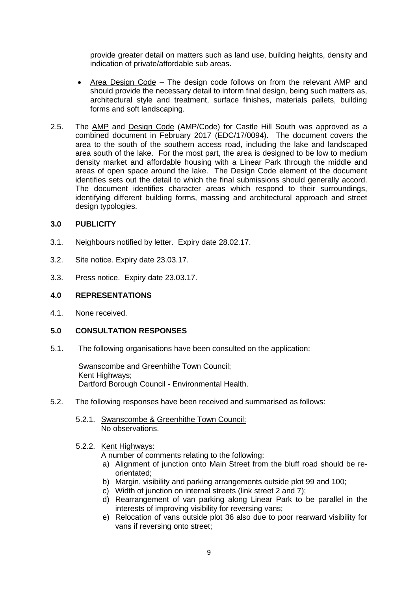provide greater detail on matters such as land use, building heights, density and indication of private/affordable sub areas.

- Area Design Code The design code follows on from the relevant AMP and should provide the necessary detail to inform final design, being such matters as, architectural style and treatment, surface finishes, materials pallets, building forms and soft landscaping.
- 2.5. The AMP and Design Code (AMP/Code) for Castle Hill South was approved as a combined document in February 2017 (EDC/17/0094). The document covers the area to the south of the southern access road, including the lake and landscaped area south of the lake. For the most part, the area is designed to be low to medium density market and affordable housing with a Linear Park through the middle and areas of open space around the lake. The Design Code element of the document identifies sets out the detail to which the final submissions should generally accord. The document identifies character areas which respond to their surroundings, identifying different building forms, massing and architectural approach and street design typologies.

### **3.0 PUBLICITY**

- 3.1. Neighbours notified by letter. Expiry date 28.02.17.
- 3.2. Site notice. Expiry date 23.03.17.
- 3.3. Press notice. Expiry date 23.03.17.

#### **4.0 REPRESENTATIONS**

4.1. None received.

### **5.0 CONSULTATION RESPONSES**

5.1. The following organisations have been consulted on the application:

Swanscombe and Greenhithe Town Council; Kent Highways: Dartford Borough Council - Environmental Health.

- 5.2. The following responses have been received and summarised as follows:
	- 5.2.1. Swanscombe & Greenhithe Town Council: No observations.

#### 5.2.2. Kent Highways:

A number of comments relating to the following:

- a) Alignment of junction onto Main Street from the bluff road should be reorientated;
- b) Margin, visibility and parking arrangements outside plot 99 and 100;
- c) Width of junction on internal streets (link street 2 and 7);
- d) Rearrangement of van parking along Linear Park to be parallel in the interests of improving visibility for reversing vans;
- e) Relocation of vans outside plot 36 also due to poor rearward visibility for vans if reversing onto street;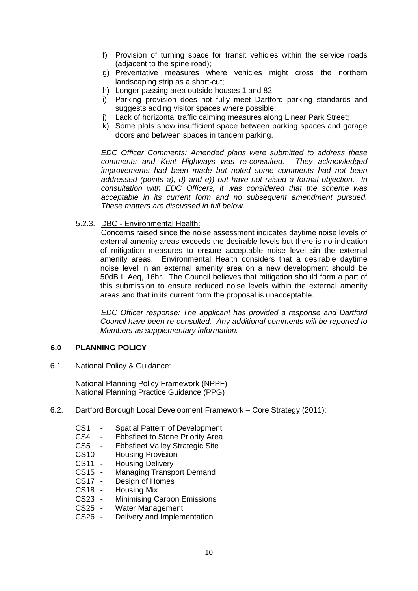- f) Provision of turning space for transit vehicles within the service roads (adjacent to the spine road);
- g) Preventative measures where vehicles might cross the northern landscaping strip as a short-cut;
- h) Longer passing area outside houses 1 and 82;
- i) Parking provision does not fully meet Dartford parking standards and suggests adding visitor spaces where possible;
- j) Lack of horizontal traffic calming measures along Linear Park Street;
- k) Some plots show insufficient space between parking spaces and garage doors and between spaces in tandem parking.

*EDC Officer Comments: Amended plans were submitted to address these comments and Kent Highways was re-consulted. They acknowledged improvements had been made but noted some comments had not been addressed (points a), d) and e)) but have not raised a formal objection. In consultation with EDC Officers, it was considered that the scheme was acceptable in its current form and no subsequent amendment pursued. These matters are discussed in full below.* 

5.2.3. DBC - Environmental Health:

Concerns raised since the noise assessment indicates daytime noise levels of external amenity areas exceeds the desirable levels but there is no indication of mitigation measures to ensure acceptable noise level sin the external amenity areas. Environmental Health considers that a desirable daytime noise level in an external amenity area on a new development should be 50dB L Aeq, 16hr. The Council believes that mitigation should form a part of this submission to ensure reduced noise levels within the external amenity areas and that in its current form the proposal is unacceptable.

*EDC Officer response: The applicant has provided a response and Dartford Council have been re-consulted. Any additional comments will be reported to Members as supplementary information.* 

#### **6.0 PLANNING POLICY**

6.1. National Policy & Guidance:

National Planning Policy Framework (NPPF) National Planning Practice Guidance (PPG)

- 6.2. Dartford Borough Local Development Framework Core Strategy (2011):
	- CS1 Spatial Pattern of Development<br>CS4 Fbbsfleet to Stone Priority Area
	- Ebbsfleet to Stone Priority Area
	- CS5 Ebbsfleet Valley Strategic Site
	- CS10 Housing Provision
	- CS11 Housing Delivery
	- CS15 Managing Transport Demand
	- CS17 Design of Homes
	- CS18 Housing Mix<br>CS23 Minimising C
	- **Minimising Carbon Emissions**
	- CS25 Water Management
	- CS26 Delivery and Implementation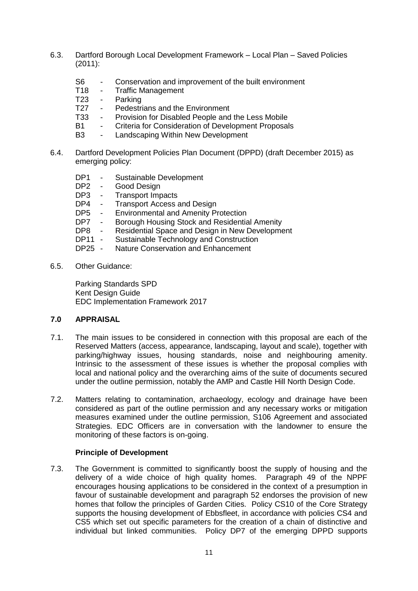- 6.3. Dartford Borough Local Development Framework Local Plan Saved Policies (2011):
	- S6 Conservation and improvement of the built environment<br>T18 Traffic Management
	- Traffic Management
	- T23 Parking
	- T27 Pedestrians and the Environment
	- T33 Provision for Disabled People and the Less Mobile
	- B1 Criteria for Consideration of Development Proposals
	- B3 Landscaping Within New Development
- 6.4. Dartford Development Policies Plan Document (DPPD) (draft December 2015) as emerging policy:
	- DP1 Sustainable Development
	- DP2 Good Design
	- DP3 Transport Impacts
	- DP4 Transport Access and Design
	- DP5 Environmental and Amenity Protection
	- DP7 Borough Housing Stock and Residential Amenity
	- DP8 Residential Space and Design in New Development
	- DP11 Sustainable Technology and Construction
	- DP25 Nature Conservation and Enhancement
- 6.5. Other Guidance:

Parking Standards SPD Kent Design Guide EDC Implementation Framework 2017

# **7.0 APPRAISAL**

- 7.1. The main issues to be considered in connection with this proposal are each of the Reserved Matters (access, appearance, landscaping, layout and scale), together with parking/highway issues, housing standards, noise and neighbouring amenity. Intrinsic to the assessment of these issues is whether the proposal complies with local and national policy and the overarching aims of the suite of documents secured under the outline permission, notably the AMP and Castle Hill North Design Code.
- 7.2. Matters relating to contamination, archaeology, ecology and drainage have been considered as part of the outline permission and any necessary works or mitigation measures examined under the outline permission, S106 Agreement and associated Strategies. EDC Officers are in conversation with the landowner to ensure the monitoring of these factors is on-going.

#### **Principle of Development**

7.3. The Government is committed to significantly boost the supply of housing and the delivery of a wide choice of high quality homes. Paragraph 49 of the NPPF encourages housing applications to be considered in the context of a presumption in favour of sustainable development and paragraph 52 endorses the provision of new homes that follow the principles of Garden Cities. Policy CS10 of the Core Strategy supports the housing development of Ebbsfleet, in accordance with policies CS4 and CS5 which set out specific parameters for the creation of a chain of distinctive and individual but linked communities. Policy DP7 of the emerging DPPD supports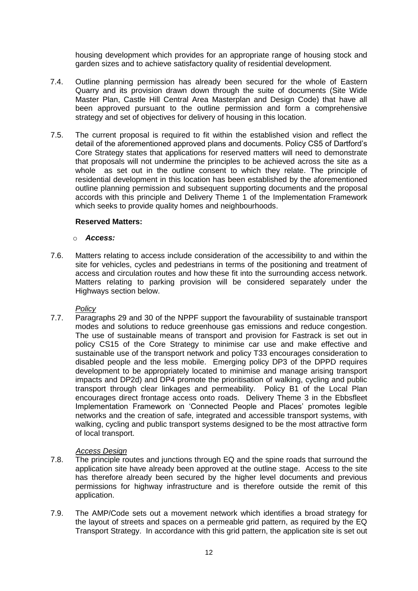housing development which provides for an appropriate range of housing stock and garden sizes and to achieve satisfactory quality of residential development.

- 7.4. Outline planning permission has already been secured for the whole of Eastern Quarry and its provision drawn down through the suite of documents (Site Wide Master Plan, Castle Hill Central Area Masterplan and Design Code) that have all been approved pursuant to the outline permission and form a comprehensive strategy and set of objectives for delivery of housing in this location.
- 7.5. The current proposal is required to fit within the established vision and reflect the detail of the aforementioned approved plans and documents. Policy CS5 of Dartford's Core Strategy states that applications for reserved matters will need to demonstrate that proposals will not undermine the principles to be achieved across the site as a whole as set out in the outline consent to which they relate. The principle of residential development in this location has been established by the aforementioned outline planning permission and subsequent supporting documents and the proposal accords with this principle and Delivery Theme 1 of the Implementation Framework which seeks to provide quality homes and neighbourhoods.

#### **Reserved Matters:**

#### o *Access:*

7.6. Matters relating to access include consideration of the accessibility to and within the site for vehicles, cycles and pedestrians in terms of the positioning and treatment of access and circulation routes and how these fit into the surrounding access network. Matters relating to parking provision will be considered separately under the Highways section below.

### *Policy*

7.7. Paragraphs 29 and 30 of the NPPF support the favourability of sustainable transport modes and solutions to reduce greenhouse gas emissions and reduce congestion. The use of sustainable means of transport and provision for Fastrack is set out in policy CS15 of the Core Strategy to minimise car use and make effective and sustainable use of the transport network and policy T33 encourages consideration to disabled people and the less mobile. Emerging policy DP3 of the DPPD requires development to be appropriately located to minimise and manage arising transport impacts and DP2d) and DP4 promote the prioritisation of walking, cycling and public transport through clear linkages and permeability. Policy B1 of the Local Plan encourages direct frontage access onto roads. Delivery Theme 3 in the Ebbsfleet Implementation Framework on 'Connected People and Places' promotes legible networks and the creation of safe, integrated and accessible transport systems, with walking, cycling and public transport systems designed to be the most attractive form of local transport.

### *Access Design*

- 7.8. The principle routes and junctions through EQ and the spine roads that surround the application site have already been approved at the outline stage. Access to the site has therefore already been secured by the higher level documents and previous permissions for highway infrastructure and is therefore outside the remit of this application.
- 7.9. The AMP/Code sets out a movement network which identifies a broad strategy for the layout of streets and spaces on a permeable grid pattern, as required by the EQ Transport Strategy. In accordance with this grid pattern, the application site is set out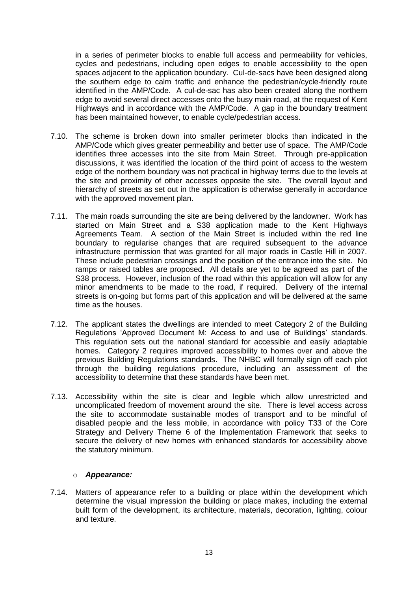in a series of perimeter blocks to enable full access and permeability for vehicles, cycles and pedestrians, including open edges to enable accessibility to the open spaces adjacent to the application boundary. Cul-de-sacs have been designed along the southern edge to calm traffic and enhance the pedestrian/cycle-friendly route identified in the AMP/Code. A cul-de-sac has also been created along the northern edge to avoid several direct accesses onto the busy main road, at the request of Kent Highways and in accordance with the AMP/Code. A gap in the boundary treatment has been maintained however, to enable cycle/pedestrian access.

- 7.10. The scheme is broken down into smaller perimeter blocks than indicated in the AMP/Code which gives greater permeability and better use of space. The AMP/Code identifies three accesses into the site from Main Street. Through pre-application discussions, it was identified the location of the third point of access to the western edge of the northern boundary was not practical in highway terms due to the levels at the site and proximity of other accesses opposite the site. The overall layout and hierarchy of streets as set out in the application is otherwise generally in accordance with the approved movement plan.
- 7.11. The main roads surrounding the site are being delivered by the landowner. Work has started on Main Street and a S38 application made to the Kent Highways Agreements Team. A section of the Main Street is included within the red line boundary to regularise changes that are required subsequent to the advance infrastructure permission that was granted for all major roads in Castle Hill in 2007. These include pedestrian crossings and the position of the entrance into the site. No ramps or raised tables are proposed. All details are yet to be agreed as part of the S38 process. However, inclusion of the road within this application will allow for any minor amendments to be made to the road, if required. Delivery of the internal streets is on-going but forms part of this application and will be delivered at the same time as the houses.
- 7.12. The applicant states the dwellings are intended to meet Category 2 of the Building Regulations 'Approved Document M: Access to and use of Buildings' standards. This regulation sets out the national standard for accessible and easily adaptable homes. Category 2 requires improved accessibility to homes over and above the previous Building Regulations standards. The NHBC will formally sign off each plot through the building regulations procedure, including an assessment of the accessibility to determine that these standards have been met.
- 7.13. Accessibility within the site is clear and legible which allow unrestricted and uncomplicated freedom of movement around the site. There is level access across the site to accommodate sustainable modes of transport and to be mindful of disabled people and the less mobile, in accordance with policy T33 of the Core Strategy and Delivery Theme 6 of the Implementation Framework that seeks to secure the delivery of new homes with enhanced standards for accessibility above the statutory minimum.

#### o *Appearance:*

7.14. Matters of appearance refer to a building or place within the development which determine the visual impression the building or place makes, including the external built form of the development, its architecture, materials, decoration, lighting, colour and texture.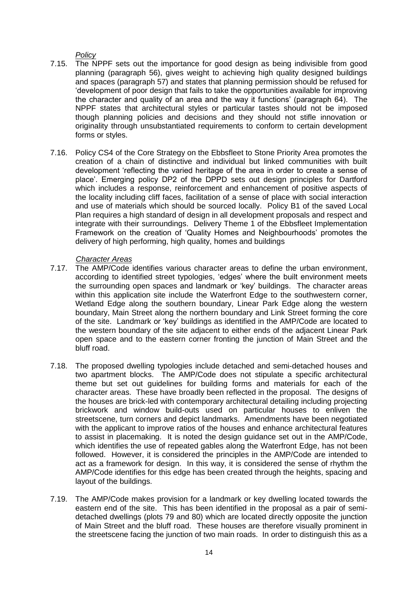*Policy*

- 7.15. The NPPF sets out the importance for good design as being indivisible from good planning (paragraph 56), gives weight to achieving high quality designed buildings and spaces (paragraph 57) and states that planning permission should be refused for 'development of poor design that fails to take the opportunities available for improving the character and quality of an area and the way it functions' (paragraph 64). The NPPF states that architectural styles or particular tastes should not be imposed though planning policies and decisions and they should not stifle innovation or originality through unsubstantiated requirements to conform to certain development forms or styles.
- 7.16. Policy CS4 of the Core Strategy on the Ebbsfleet to Stone Priority Area promotes the creation of a chain of distinctive and individual but linked communities with built development 'reflecting the varied heritage of the area in order to create a sense of place'. Emerging policy DP2 of the DPPD sets out design principles for Dartford which includes a response, reinforcement and enhancement of positive aspects of the locality including cliff faces, facilitation of a sense of place with social interaction and use of materials which should be sourced locally. Policy B1 of the saved Local Plan requires a high standard of design in all development proposals and respect and integrate with their surroundings. Delivery Theme 1 of the Ebbsfleet Implementation Framework on the creation of 'Quality Homes and Neighbourhoods' promotes the delivery of high performing, high quality, homes and buildings

## *Character Areas*

- 7.17. The AMP/Code identifies various character areas to define the urban environment, according to identified street typologies, 'edges' where the built environment meets the surrounding open spaces and landmark or 'key' buildings. The character areas within this application site include the Waterfront Edge to the southwestern corner, Wetland Edge along the southern boundary, Linear Park Edge along the western boundary, Main Street along the northern boundary and Link Street forming the core of the site. Landmark or 'key' buildings as identified in the AMP/Code are located to the western boundary of the site adjacent to either ends of the adjacent Linear Park open space and to the eastern corner fronting the junction of Main Street and the bluff road.
- 7.18. The proposed dwelling typologies include detached and semi-detached houses and two apartment blocks. The AMP/Code does not stipulate a specific architectural theme but set out guidelines for building forms and materials for each of the character areas. These have broadly been reflected in the proposal. The designs of the houses are brick-led with contemporary architectural detailing including projecting brickwork and window build-outs used on particular houses to enliven the streetscene, turn corners and depict landmarks. Amendments have been negotiated with the applicant to improve ratios of the houses and enhance architectural features to assist in placemaking. It is noted the design guidance set out in the AMP/Code, which identifies the use of repeated gables along the Waterfront Edge, has not been followed. However, it is considered the principles in the AMP/Code are intended to act as a framework for design. In this way, it is considered the sense of rhythm the AMP/Code identifies for this edge has been created through the heights, spacing and layout of the buildings.
- 7.19. The AMP/Code makes provision for a landmark or key dwelling located towards the eastern end of the site. This has been identified in the proposal as a pair of semidetached dwellings (plots 79 and 80) which are located directly opposite the junction of Main Street and the bluff road. These houses are therefore visually prominent in the streetscene facing the junction of two main roads. In order to distinguish this as a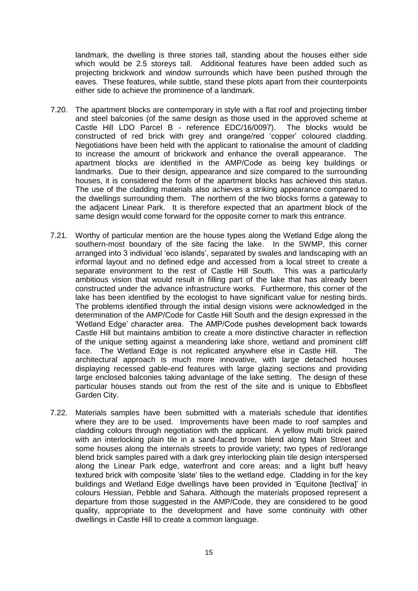landmark, the dwelling is three stories tall, standing about the houses either side which would be 2.5 storeys tall. Additional features have been added such as projecting brickwork and window surrounds which have been pushed through the eaves. These features, while subtle, stand these plots apart from their counterpoints either side to achieve the prominence of a landmark.

- 7.20. The apartment blocks are contemporary in style with a flat roof and projecting timber and steel balconies (of the same design as those used in the approved scheme at Castle Hill LDO Parcel B - reference EDC/16/0097). The blocks would be constructed of red brick with grey and orange/red 'copper' coloured cladding. Negotiations have been held with the applicant to rationalise the amount of cladding to increase the amount of brickwork and enhance the overall appearance. The apartment blocks are identified in the AMP/Code as being key buildings or landmarks. Due to their design, appearance and size compared to the surrounding houses, it is considered the form of the apartment blocks has achieved this status. The use of the cladding materials also achieves a striking appearance compared to the dwellings surrounding them. The northern of the two blocks forms a gateway to the adjacent Linear Park. It is therefore expected that an apartment block of the same design would come forward for the opposite corner to mark this entrance.
- 7.21. Worthy of particular mention are the house types along the Wetland Edge along the southern-most boundary of the site facing the lake. In the SWMP, this corner arranged into 3 individual 'eco islands', separated by swales and landscaping with an informal layout and no defined edge and accessed from a local street to create a separate environment to the rest of Castle Hill South. This was a particularly ambitious vision that would result in filling part of the lake that has already been constructed under the advance infrastructure works. Furthermore, this corner of the lake has been identified by the ecologist to have significant value for nesting birds. The problems identified through the initial design visions were acknowledged in the determination of the AMP/Code for Castle Hill South and the design expressed in the 'Wetland Edge' character area. The AMP/Code pushes development back towards Castle Hill but maintains ambition to create a more distinctive character in reflection of the unique setting against a meandering lake shore, wetland and prominent cliff face. The Wetland Edge is not replicated anywhere else in Castle Hill. The architectural approach is much more innovative, with large detached houses displaying recessed gable-end features with large glazing sections and providing large enclosed balconies taking advantage of the lake setting. The design of these particular houses stands out from the rest of the site and is unique to Ebbsfleet Garden City.
- 7.22. Materials samples have been submitted with a materials schedule that identifies where they are to be used. Improvements have been made to roof samples and cladding colours through negotiation with the applicant. A yellow multi brick paired with an interlocking plain tile in a sand-faced brown blend along Main Street and some houses along the internals streets to provide variety; two types of red/orange blend brick samples paired with a dark grey interlocking plain tile design interspersed along the Linear Park edge, waterfront and core areas; and a light buff heavy textured brick with composite 'slate' tiles to the wetland edge. Cladding in for the key buildings and Wetland Edge dwellings have been provided in 'Equitone [tectiva]' in colours Hessian, Pebble and Sahara. Although the materials proposed represent a departure from those suggested in the AMP/Code, they are considered to be good quality, appropriate to the development and have some continuity with other dwellings in Castle Hill to create a common language.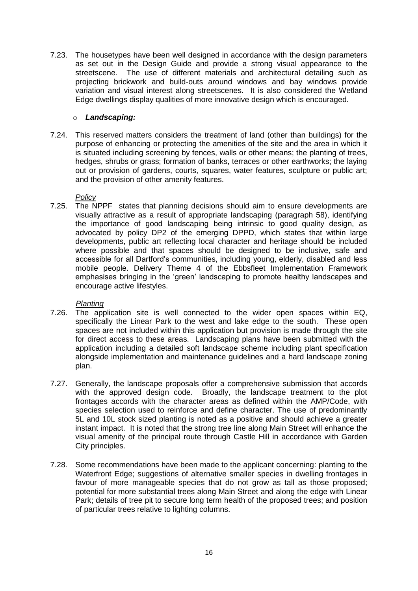7.23. The housetypes have been well designed in accordance with the design parameters as set out in the Design Guide and provide a strong visual appearance to the streetscene. The use of different materials and architectural detailing such as projecting brickwork and build-outs around windows and bay windows provide variation and visual interest along streetscenes. It is also considered the Wetland Edge dwellings display qualities of more innovative design which is encouraged.

### o *Landscaping:*

7.24. This reserved matters considers the treatment of land (other than buildings) for the purpose of enhancing or protecting the amenities of the site and the area in which it is situated including screening by fences, walls or other means; the planting of trees, hedges, shrubs or grass; formation of banks, terraces or other earthworks; the laying out or provision of gardens, courts, squares, water features, sculpture or public art; and the provision of other amenity features.

# *Policy*

7.25. The NPPF states that planning decisions should aim to ensure developments are visually attractive as a result of appropriate landscaping (paragraph 58), identifying the importance of good landscaping being intrinsic to good quality design, as advocated by policy DP2 of the emerging DPPD, which states that within large developments, public art reflecting local character and heritage should be included where possible and that spaces should be designed to be inclusive, safe and accessible for all Dartford's communities, including young, elderly, disabled and less mobile people. Delivery Theme 4 of the Ebbsfleet Implementation Framework emphasises bringing in the 'green' landscaping to promote healthy landscapes and encourage active lifestyles.

### *Planting*

- 7.26. The application site is well connected to the wider open spaces within EQ, specifically the Linear Park to the west and lake edge to the south. These open spaces are not included within this application but provision is made through the site for direct access to these areas. Landscaping plans have been submitted with the application including a detailed soft landscape scheme including plant specification alongside implementation and maintenance guidelines and a hard landscape zoning plan.
- 7.27. Generally, the landscape proposals offer a comprehensive submission that accords with the approved design code. Broadly, the landscape treatment to the plot frontages accords with the character areas as defined within the AMP/Code, with species selection used to reinforce and define character. The use of predominantly 5L and 10L stock sized planting is noted as a positive and should achieve a greater instant impact. It is noted that the strong tree line along Main Street will enhance the visual amenity of the principal route through Castle Hill in accordance with Garden City principles.
- 7.28. Some recommendations have been made to the applicant concerning: planting to the Waterfront Edge; suggestions of alternative smaller species in dwelling frontages in favour of more manageable species that do not grow as tall as those proposed; potential for more substantial trees along Main Street and along the edge with Linear Park; details of tree pit to secure long term health of the proposed trees; and position of particular trees relative to lighting columns.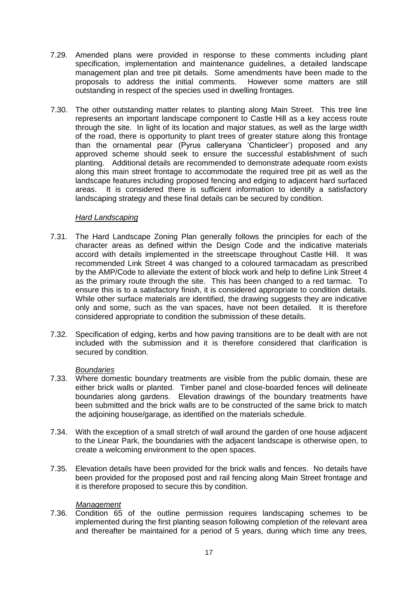- 7.29. Amended plans were provided in response to these comments including plant specification, implementation and maintenance guidelines, a detailed landscape management plan and tree pit details. Some amendments have been made to the proposals to address the initial comments. However some matters are still outstanding in respect of the species used in dwelling frontages.
- 7.30. The other outstanding matter relates to planting along Main Street. This tree line represents an important landscape component to Castle Hill as a key access route through the site. In light of its location and major statues, as well as the large width of the road, there is opportunity to plant trees of greater stature along this frontage than the ornamental pear (Pyrus calleryana 'Chanticleer') proposed and any approved scheme should seek to ensure the successful establishment of such planting. Additional details are recommended to demonstrate adequate room exists along this main street frontage to accommodate the required tree pit as well as the landscape features including proposed fencing and edging to adjacent hard surfaced areas. It is considered there is sufficient information to identify a satisfactory landscaping strategy and these final details can be secured by condition.

### *Hard Landscaping*

- 7.31. The Hard Landscape Zoning Plan generally follows the principles for each of the character areas as defined within the Design Code and the indicative materials accord with details implemented in the streetscape throughout Castle Hill. It was recommended Link Street 4 was changed to a coloured tarmacadam as prescribed by the AMP/Code to alleviate the extent of block work and help to define Link Street 4 as the primary route through the site. This has been changed to a red tarmac. To ensure this is to a satisfactory finish, it is considered appropriate to condition details. While other surface materials are identified, the drawing suggests they are indicative only and some, such as the van spaces, have not been detailed. It is therefore considered appropriate to condition the submission of these details.
- 7.32. Specification of edging, kerbs and how paving transitions are to be dealt with are not included with the submission and it is therefore considered that clarification is secured by condition.

### *Boundaries*

- 7.33. Where domestic boundary treatments are visible from the public domain, these are either brick walls or planted. Timber panel and close-boarded fences will delineate boundaries along gardens. Elevation drawings of the boundary treatments have been submitted and the brick walls are to be constructed of the same brick to match the adjoining house/garage, as identified on the materials schedule.
- 7.34. With the exception of a small stretch of wall around the garden of one house adjacent to the Linear Park, the boundaries with the adjacent landscape is otherwise open, to create a welcoming environment to the open spaces.
- 7.35. Elevation details have been provided for the brick walls and fences. No details have been provided for the proposed post and rail fencing along Main Street frontage and it is therefore proposed to secure this by condition.

#### *Management*

7.36. Condition 65 of the outline permission requires landscaping schemes to be implemented during the first planting season following completion of the relevant area and thereafter be maintained for a period of 5 years, during which time any trees,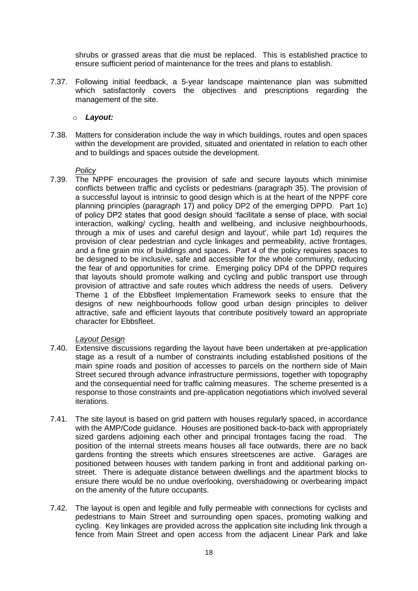shrubs or grassed areas that die must be replaced. This is established practice to ensure sufficient period of maintenance for the trees and plans to establish.

7.37. Following initial feedback, a 5-year landscape maintenance plan was submitted which satisfactorily covers the objectives and prescriptions regarding the management of the site.

### o *Layout:*

7.38. Matters for consideration include the way in which buildings, routes and open spaces within the development are provided, situated and orientated in relation to each other and to buildings and spaces outside the development.

#### *Policy*

7.39. The NPPF encourages the provision of safe and secure layouts which minimise conflicts between traffic and cyclists or pedestrians (paragraph 35). The provision of a successful layout is intrinsic to good design which is at the heart of the NPPF core planning principles (paragraph 17) and policy DP2 of the emerging DPPD. Part 1c) of policy DP2 states that good design should 'facilitate a sense of place, with social interaction, walking/ cycling, health and wellbeing, and inclusive neighbourhoods, through a mix of uses and careful design and layout', while part 1d) requires the provision of clear pedestrian and cycle linkages and permeability, active frontages, and a fine grain mix of buildings and spaces. Part 4 of the policy requires spaces to be designed to be inclusive, safe and accessible for the whole community, reducing the fear of and opportunities for crime. Emerging policy DP4 of the DPPD requires that layouts should promote walking and cycling and public transport use through provision of attractive and safe routes which address the needs of users. Delivery Theme 1 of the Ebbsfleet Implementation Framework seeks to ensure that the designs of new neighbourhoods follow good urban design principles to deliver attractive, safe and efficient layouts that contribute positively toward an appropriate character for Ebbsfleet.

### *Layout Design*

- 7.40. Extensive discussions regarding the layout have been undertaken at pre-application stage as a result of a number of constraints including established positions of the main spine roads and position of accesses to parcels on the northern side of Main Street secured through advance infrastructure permissions, together with topography and the consequential need for traffic calming measures. The scheme presented is a response to those constraints and pre-application negotiations which involved several iterations.
- 7.41. The site layout is based on grid pattern with houses regularly spaced, in accordance with the AMP/Code guidance. Houses are positioned back-to-back with appropriately sized gardens adjoining each other and principal frontages facing the road. The position of the internal streets means houses all face outwards, there are no back gardens fronting the streets which ensures streetscenes are active. Garages are positioned between houses with tandem parking in front and additional parking onstreet. There is adequate distance between dwellings and the apartment blocks to ensure there would be no undue overlooking, overshadowing or overbearing impact on the amenity of the future occupants.
- 7.42. The layout is open and legible and fully permeable with connections for cyclists and pedestrians to Main Street and surrounding open spaces, promoting walking and cycling. Key linkages are provided across the application site including link through a fence from Main Street and open access from the adjacent Linear Park and lake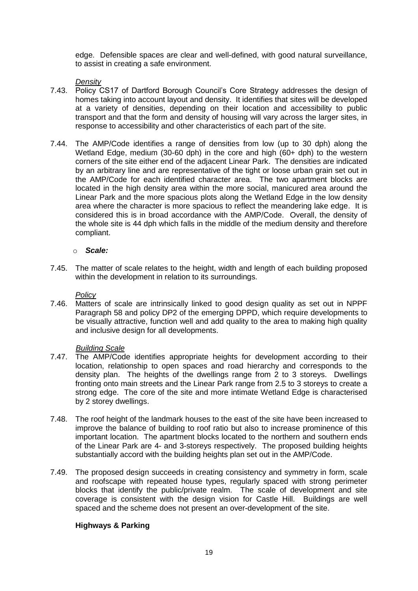edge. Defensible spaces are clear and well-defined, with good natural surveillance, to assist in creating a safe environment.

### *Density*

- 7.43. Policy CS17 of Dartford Borough Council's Core Strategy addresses the design of homes taking into account layout and density. It identifies that sites will be developed at a variety of densities, depending on their location and accessibility to public transport and that the form and density of housing will vary across the larger sites, in response to accessibility and other characteristics of each part of the site.
- 7.44. The AMP/Code identifies a range of densities from low (up to 30 dph) along the Wetland Edge, medium (30-60 dph) in the core and high (60+ dph) to the western corners of the site either end of the adjacent Linear Park. The densities are indicated by an arbitrary line and are representative of the tight or loose urban grain set out in the AMP/Code for each identified character area. The two apartment blocks are located in the high density area within the more social, manicured area around the Linear Park and the more spacious plots along the Wetland Edge in the low density area where the character is more spacious to reflect the meandering lake edge. It is considered this is in broad accordance with the AMP/Code. Overall, the density of the whole site is 44 dph which falls in the middle of the medium density and therefore compliant.

#### o *Scale:*

7.45. The matter of scale relates to the height, width and length of each building proposed within the development in relation to its surroundings.

#### *Policy*

7.46. Matters of scale are intrinsically linked to good design quality as set out in NPPF Paragraph 58 and policy DP2 of the emerging DPPD, which require developments to be visually attractive, function well and add quality to the area to making high quality and inclusive design for all developments.

#### *Building Scale*

- 7.47. The AMP/Code identifies appropriate heights for development according to their location, relationship to open spaces and road hierarchy and corresponds to the density plan. The heights of the dwellings range from 2 to 3 storeys. Dwellings fronting onto main streets and the Linear Park range from 2.5 to 3 storeys to create a strong edge. The core of the site and more intimate Wetland Edge is characterised by 2 storey dwellings.
- 7.48. The roof height of the landmark houses to the east of the site have been increased to improve the balance of building to roof ratio but also to increase prominence of this important location. The apartment blocks located to the northern and southern ends of the Linear Park are 4- and 3-storeys respectively. The proposed building heights substantially accord with the building heights plan set out in the AMP/Code.
- 7.49. The proposed design succeeds in creating consistency and symmetry in form, scale and roofscape with repeated house types, regularly spaced with strong perimeter blocks that identify the public/private realm. The scale of development and site coverage is consistent with the design vision for Castle Hill. Buildings are well spaced and the scheme does not present an over-development of the site.

# **Highways & Parking**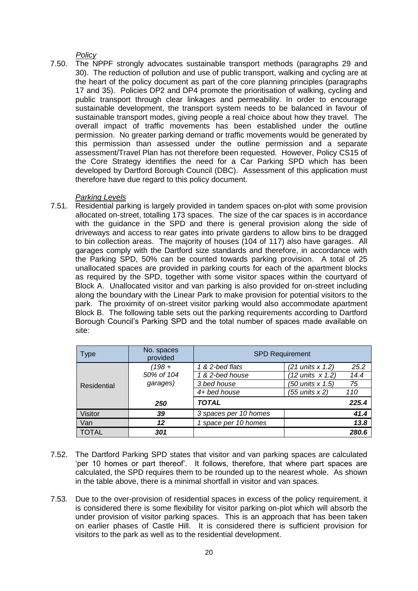*Policy*

7.50. The NPPF strongly advocates sustainable transport methods (paragraphs 29 and 30). The reduction of pollution and use of public transport, walking and cycling are at the heart of the policy document as part of the core planning principles (paragraphs 17 and 35). Policies DP2 and DP4 promote the prioritisation of walking, cycling and public transport through clear linkages and permeability. In order to encourage sustainable development, the transport system needs to be balanced in favour of sustainable transport modes, giving people a real choice about how they travel. The overall impact of traffic movements has been established under the outline permission. No greater parking demand or traffic movements would be generated by this permission than assessed under the outline permission and a separate assessment/Travel Plan has not therefore been requested. However, Policy CS15 of the Core Strategy identifies the need for a Car Parking SPD which has been developed by Dartford Borough Council (DBC). Assessment of this application must therefore have due regard to this policy document.

#### *Parking Levels*

7.51. Residential parking is largely provided in tandem spaces on-plot with some provision allocated on-street, totalling 173 spaces. The size of the car spaces is in accordance with the guidance in the SPD and there is general provision along the side of driveways and access to rear gates into private gardens to allow bins to be dragged to bin collection areas. The majority of houses (104 of 117) also have garages. All garages comply with the Dartford size standards and therefore, in accordance with the Parking SPD, 50% can be counted towards parking provision. A total of 25 unallocated spaces are provided in parking courts for each of the apartment blocks as required by the SPD, together with some visitor spaces within the courtyard of Block A. Unallocated visitor and van parking is also provided for on-street including along the boundary with the Linear Park to make provision for potential visitors to the park. The proximity of on-street visitor parking would also accommodate apartment Block B. The following table sets out the parking requirements according to Dartford Borough Council's Parking SPD and the total number of spaces made available on site:

| Type           | No. spaces<br>provided | <b>SPD Requirement</b> |                    |       |
|----------------|------------------------|------------------------|--------------------|-------|
| Residential    | $(198 +$               | 1 & 2-bed flats        | (21 units x 1.2)   | 25.2  |
|                | 50% of 104             | 1 & 2-bed house        | (12 units x 1.2)   | 14.4  |
|                | garages)               | 3 bed house            | (50 units x 1.5)   | 75    |
|                |                        | 4+ bed house           | $(55$ units $x$ 2) | 110   |
|                | 250                    | <b>TOTAL</b>           |                    | 225.4 |
| <b>Visitor</b> | 39                     | 3 spaces per 10 homes  |                    | 41.4  |
| Van            | 12                     | space per 10 homes     |                    | 13.8  |
| <b>TOTAL</b>   | 301                    |                        |                    | 280.6 |

- 7.52. The Dartford Parking SPD states that visitor and van parking spaces are calculated 'per 10 homes or part thereof'. It follows, therefore, that where part spaces are calculated, the SPD requires them to be rounded up to the nearest whole. As shown in the table above, there is a minimal shortfall in visitor and van spaces.
- 7.53. Due to the over-provision of residential spaces in excess of the policy requirement, it is considered there is some flexibility for visitor parking on-plot which will absorb the under provision of visitor parking spaces. This is an approach that has been taken on earlier phases of Castle Hill. It is considered there is sufficient provision for visitors to the park as well as to the residential development.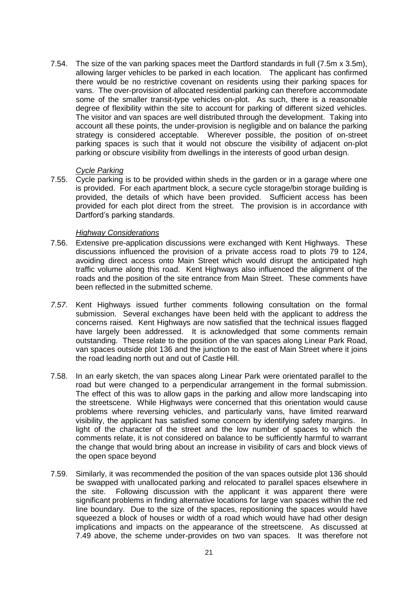7.54. The size of the van parking spaces meet the Dartford standards in full (7.5m x 3.5m), allowing larger vehicles to be parked in each location. The applicant has confirmed there would be no restrictive covenant on residents using their parking spaces for vans. The over-provision of allocated residential parking can therefore accommodate some of the smaller transit-type vehicles on-plot. As such, there is a reasonable degree of flexibility within the site to account for parking of different sized vehicles. The visitor and van spaces are well distributed through the development. Taking into account all these points, the under-provision is negligible and on balance the parking strategy is considered acceptable. Wherever possible, the position of on-street parking spaces is such that it would not obscure the visibility of adjacent on-plot parking or obscure visibility from dwellings in the interests of good urban design.

#### *Cycle Parking*

7.55. Cycle parking is to be provided within sheds in the garden or in a garage where one is provided. For each apartment block, a secure cycle storage/bin storage building is provided, the details of which have been provided. Sufficient access has been provided for each plot direct from the street. The provision is in accordance with Dartford's parking standards.

#### *Highway Considerations*

- 7.56. Extensive pre-application discussions were exchanged with Kent Highways. These discussions influenced the provision of a private access road to plots 79 to 124, avoiding direct access onto Main Street which would disrupt the anticipated high traffic volume along this road. Kent Highways also influenced the alignment of the roads and the position of the site entrance from Main Street. These comments have been reflected in the submitted scheme.
- *7.57.* Kent Highways issued further comments following consultation on the formal submission. Several exchanges have been held with the applicant to address the concerns raised. Kent Highways are now satisfied that the technical issues flagged have largely been addressed. It is acknowledged that some comments remain outstanding. These relate to the position of the van spaces along Linear Park Road, van spaces outside plot 136 and the junction to the east of Main Street where it joins the road leading north out and out of Castle Hill.
- 7.58. In an early sketch, the van spaces along Linear Park were orientated parallel to the road but were changed to a perpendicular arrangement in the formal submission. The effect of this was to allow gaps in the parking and allow more landscaping into the streetscene. While Highways were concerned that this orientation would cause problems where reversing vehicles, and particularly vans, have limited rearward visibility, the applicant has satisfied some concern by identifying safety margins. In light of the character of the street and the low number of spaces to which the comments relate, it is not considered on balance to be sufficiently harmful to warrant the change that would bring about an increase in visibility of cars and block views of the open space beyond
- 7.59. Similarly, it was recommended the position of the van spaces outside plot 136 should be swapped with unallocated parking and relocated to parallel spaces elsewhere in the site. Following discussion with the applicant it was apparent there were significant problems in finding alternative locations for large van spaces within the red line boundary. Due to the size of the spaces, repositioning the spaces would have squeezed a block of houses or width of a road which would have had other design implications and impacts on the appearance of the streetscene. As discussed at 7.49 above, the scheme under-provides on two van spaces. It was therefore not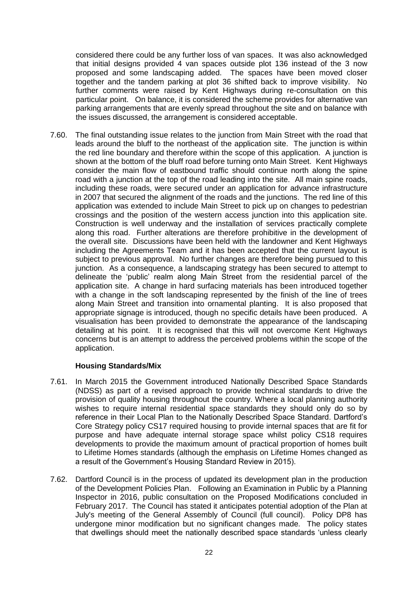considered there could be any further loss of van spaces. It was also acknowledged that initial designs provided 4 van spaces outside plot 136 instead of the 3 now proposed and some landscaping added. The spaces have been moved closer together and the tandem parking at plot 36 shifted back to improve visibility. No further comments were raised by Kent Highways during re-consultation on this particular point. On balance, it is considered the scheme provides for alternative van parking arrangements that are evenly spread throughout the site and on balance with the issues discussed, the arrangement is considered acceptable.

7.60. The final outstanding issue relates to the junction from Main Street with the road that leads around the bluff to the northeast of the application site. The junction is within the red line boundary and therefore within the scope of this application. A junction is shown at the bottom of the bluff road before turning onto Main Street. Kent Highways consider the main flow of eastbound traffic should continue north along the spine road with a junction at the top of the road leading into the site. All main spine roads, including these roads, were secured under an application for advance infrastructure in 2007 that secured the alignment of the roads and the junctions. The red line of this application was extended to include Main Street to pick up on changes to pedestrian crossings and the position of the western access junction into this application site. Construction is well underway and the installation of services practically complete along this road. Further alterations are therefore prohibitive in the development of the overall site. Discussions have been held with the landowner and Kent Highways including the Agreements Team and it has been accepted that the current layout is subject to previous approval. No further changes are therefore being pursued to this junction. As a consequence, a landscaping strategy has been secured to attempt to delineate the 'public' realm along Main Street from the residential parcel of the application site. A change in hard surfacing materials has been introduced together with a change in the soft landscaping represented by the finish of the line of trees along Main Street and transition into ornamental planting. It is also proposed that appropriate signage is introduced, though no specific details have been produced. A visualisation has been provided to demonstrate the appearance of the landscaping detailing at his point. It is recognised that this will not overcome Kent Highways concerns but is an attempt to address the perceived problems within the scope of the application.

### **Housing Standards/Mix**

- 7.61. In March 2015 the Government introduced Nationally Described Space Standards (NDSS) as part of a revised approach to provide technical standards to drive the provision of quality housing throughout the country. Where a local planning authority wishes to require internal residential space standards they should only do so by reference in their Local Plan to the Nationally Described Space Standard. Dartford's Core Strategy policy CS17 required housing to provide internal spaces that are fit for purpose and have adequate internal storage space whilst policy CS18 requires developments to provide the maximum amount of practical proportion of homes built to Lifetime Homes standards (although the emphasis on Lifetime Homes changed as a result of the Government's Housing Standard Review in 2015).
- 7.62. Dartford Council is in the process of updated its development plan in the production of the Development Policies Plan. Following an Examination in Public by a Planning Inspector in 2016, public consultation on the Proposed Modifications concluded in February 2017. The Council has stated it anticipates potential adoption of the Plan at July's meeting of the General Assembly of Council (full council). Policy DP8 has undergone minor modification but no significant changes made. The policy states that dwellings should meet the nationally described space standards 'unless clearly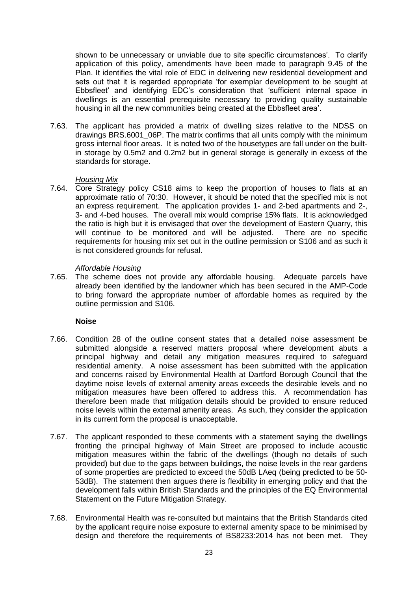shown to be unnecessary or unviable due to site specific circumstances'. To clarify application of this policy, amendments have been made to paragraph 9.45 of the Plan. It identifies the vital role of EDC in delivering new residential development and sets out that it is regarded appropriate 'for exemplar development to be sought at Ebbsfleet' and identifying EDC's consideration that 'sufficient internal space in dwellings is an essential prerequisite necessary to providing quality sustainable housing in all the new communities being created at the Ebbsfleet area'.

7.63. The applicant has provided a matrix of dwelling sizes relative to the NDSS on drawings BRS.6001\_06P. The matrix confirms that all units comply with the minimum gross internal floor areas. It is noted two of the housetypes are fall under on the builtin storage by 0.5m2 and 0.2m2 but in general storage is generally in excess of the standards for storage.

#### *Housing Mix*

7.64. Core Strategy policy CS18 aims to keep the proportion of houses to flats at an approximate ratio of 70:30. However, it should be noted that the specified mix is not an express requirement. The application provides 1- and 2-bed apartments and 2-, 3- and 4-bed houses. The overall mix would comprise 15% flats. It is acknowledged the ratio is high but it is envisaged that over the development of Eastern Quarry, this will continue to be monitored and will be adjusted. There are no specific requirements for housing mix set out in the outline permission or S106 and as such it is not considered grounds for refusal.

#### *Affordable Housing*

7.65. The scheme does not provide any affordable housing. Adequate parcels have already been identified by the landowner which has been secured in the AMP-Code to bring forward the appropriate number of affordable homes as required by the outline permission and S106.

#### **Noise**

- 7.66. Condition 28 of the outline consent states that a detailed noise assessment be submitted alongside a reserved matters proposal where development abuts a principal highway and detail any mitigation measures required to safeguard residential amenity. A noise assessment has been submitted with the application and concerns raised by Environmental Health at Dartford Borough Council that the daytime noise levels of external amenity areas exceeds the desirable levels and no mitigation measures have been offered to address this. A recommendation has therefore been made that mitigation details should be provided to ensure reduced noise levels within the external amenity areas. As such, they consider the application in its current form the proposal is unacceptable.
- 7.67. The applicant responded to these comments with a statement saying the dwellings fronting the principal highway of Main Street are proposed to include acoustic mitigation measures within the fabric of the dwellings (though no details of such provided) but due to the gaps between buildings, the noise levels in the rear gardens of some properties are predicted to exceed the 50dB LAeq (being predicted to be 50- 53dB). The statement then argues there is flexibility in emerging policy and that the development falls within British Standards and the principles of the EQ Environmental Statement on the Future Mitigation Strategy.
- 7.68. Environmental Health was re-consulted but maintains that the British Standards cited by the applicant require noise exposure to external amenity space to be minimised by design and therefore the requirements of BS8233:2014 has not been met. They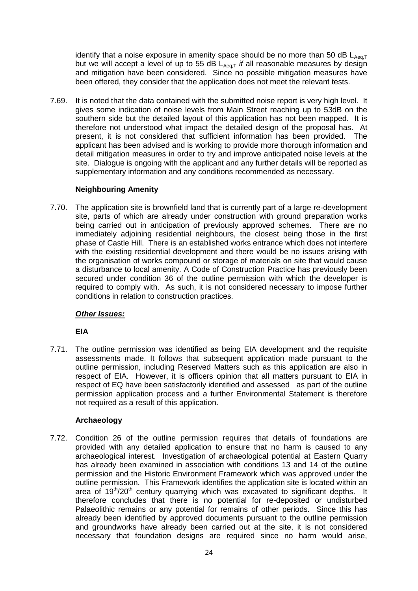identify that a noise exposure in amenity space should be no more than 50 dB  $L_{Aeq,T}$ but we will accept a level of up to 55 dB  $L_{Aeq,T}$  *if* all reasonable measures by design and mitigation have been considered. Since no possible mitigation measures have been offered, they consider that the application does not meet the relevant tests.

7.69. It is noted that the data contained with the submitted noise report is very high level. It gives some indication of noise levels from Main Street reaching up to 53dB on the southern side but the detailed layout of this application has not been mapped. It is therefore not understood what impact the detailed design of the proposal has. At present, it is not considered that sufficient information has been provided. The applicant has been advised and is working to provide more thorough information and detail mitigation measures in order to try and improve anticipated noise levels at the site. Dialogue is ongoing with the applicant and any further details will be reported as supplementary information and any conditions recommended as necessary.

# **Neighbouring Amenity**

7.70. The application site is brownfield land that is currently part of a large re-development site, parts of which are already under construction with ground preparation works being carried out in anticipation of previously approved schemes. There are no immediately adjoining residential neighbours, the closest being those in the first phase of Castle Hill. There is an established works entrance which does not interfere with the existing residential development and there would be no issues arising with the organisation of works compound or storage of materials on site that would cause a disturbance to local amenity. A Code of Construction Practice has previously been secured under condition 36 of the outline permission with which the developer is required to comply with. As such, it is not considered necessary to impose further conditions in relation to construction practices.

### *Other Issues:*

# **EIA**

7.71. The outline permission was identified as being EIA development and the requisite assessments made. It follows that subsequent application made pursuant to the outline permission, including Reserved Matters such as this application are also in respect of EIA. However, it is officers opinion that all matters pursuant to EIA in respect of EQ have been satisfactorily identified and assessed as part of the outline permission application process and a further Environmental Statement is therefore not required as a result of this application.

# **Archaeology**

7.72. Condition 26 of the outline permission requires that details of foundations are provided with any detailed application to ensure that no harm is caused to any archaeological interest. Investigation of archaeological potential at Eastern Quarry has already been examined in association with conditions 13 and 14 of the outline permission and the Historic Environment Framework which was approved under the outline permission. This Framework identifies the application site is located within an area of  $19<sup>th</sup>/20<sup>th</sup>$  century quarrying which was excavated to significant depths. It therefore concludes that there is no potential for re-deposited or undisturbed Palaeolithic remains or any potential for remains of other periods. Since this has already been identified by approved documents pursuant to the outline permission and groundworks have already been carried out at the site, it is not considered necessary that foundation designs are required since no harm would arise,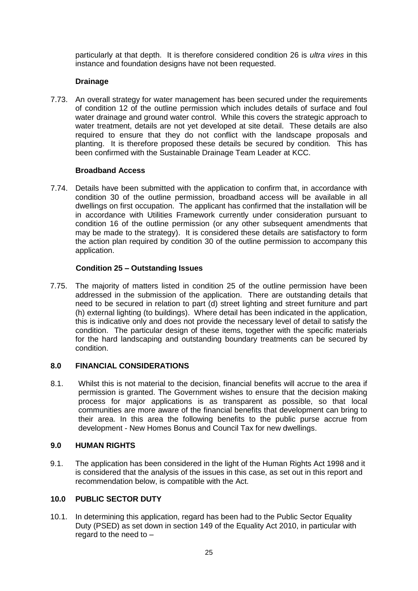particularly at that depth. It is therefore considered condition 26 is *ultra vires* in this instance and foundation designs have not been requested.

### **Drainage**

7.73. An overall strategy for water management has been secured under the requirements of condition 12 of the outline permission which includes details of surface and foul water drainage and ground water control. While this covers the strategic approach to water treatment, details are not yet developed at site detail. These details are also required to ensure that they do not conflict with the landscape proposals and planting. It is therefore proposed these details be secured by condition. This has been confirmed with the Sustainable Drainage Team Leader at KCC.

### **Broadband Access**

7.74. Details have been submitted with the application to confirm that, in accordance with condition 30 of the outline permission, broadband access will be available in all dwellings on first occupation. The applicant has confirmed that the installation will be in accordance with Utilities Framework currently under consideration pursuant to condition 16 of the outline permission (or any other subsequent amendments that may be made to the strategy). It is considered these details are satisfactory to form the action plan required by condition 30 of the outline permission to accompany this application.

## **Condition 25 – Outstanding Issues**

7.75. The majority of matters listed in condition 25 of the outline permission have been addressed in the submission of the application. There are outstanding details that need to be secured in relation to part (d) street lighting and street furniture and part (h) external lighting (to buildings). Where detail has been indicated in the application, this is indicative only and does not provide the necessary level of detail to satisfy the condition. The particular design of these items, together with the specific materials for the hard landscaping and outstanding boundary treatments can be secured by condition.

# **8.0 FINANCIAL CONSIDERATIONS**

8.1. Whilst this is not material to the decision, financial benefits will accrue to the area if permission is granted. The Government wishes to ensure that the decision making process for major applications is as transparent as possible, so that local communities are more aware of the financial benefits that development can bring to their area. In this area the following benefits to the public purse accrue from development - New Homes Bonus and Council Tax for new dwellings.

### **9.0 HUMAN RIGHTS**

9.1. The application has been considered in the light of the Human Rights Act 1998 and it is considered that the analysis of the issues in this case, as set out in this report and recommendation below, is compatible with the Act.

### **10.0 PUBLIC SECTOR DUTY**

10.1. In determining this application, regard has been had to the Public Sector Equality Duty (PSED) as set down in section 149 of the Equality Act 2010, in particular with regard to the need to –